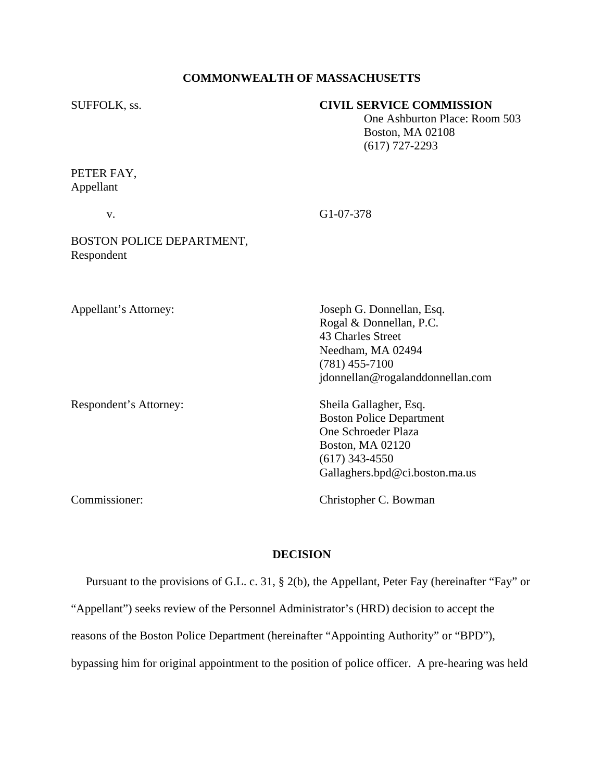# **COMMONWEALTH OF MASSACHUSETTS**

## SUFFOLK, ss. **CIVIL SERVICE COMMISSION**

 One Ashburton Place: Room 503 Boston, MA 02108 (617) 727-2293

PETER FAY, Appellant

| V.                                      | G1-07-378                                                                                                                                                         |
|-----------------------------------------|-------------------------------------------------------------------------------------------------------------------------------------------------------------------|
| BOSTON POLICE DEPARTMENT,<br>Respondent |                                                                                                                                                                   |
| Appellant's Attorney:                   | Joseph G. Donnellan, Esq.<br>Rogal & Donnellan, P.C.<br>43 Charles Street                                                                                         |
|                                         | Needham, MA 02494<br>$(781)$ 455-7100<br>jdonnellan@rogalanddonnellan.com                                                                                         |
| Respondent's Attorney:                  | Sheila Gallagher, Esq.<br><b>Boston Police Department</b><br>One Schroeder Plaza<br><b>Boston, MA 02120</b><br>$(617)$ 343-4550<br>Gallaghers.bpd@ci.boston.ma.us |

Commissioner: Christopher C. Bowman

### **DECISION**

Pursuant to the provisions of G.L. c. 31, § 2(b), the Appellant, Peter Fay (hereinafter "Fay" or

"Appellant") seeks review of the Personnel Administrator's (HRD) decision to accept the

reasons of the Boston Police Department (hereinafter "Appointing Authority" or "BPD"),

bypassing him for original appointment to the position of police officer. A pre-hearing was held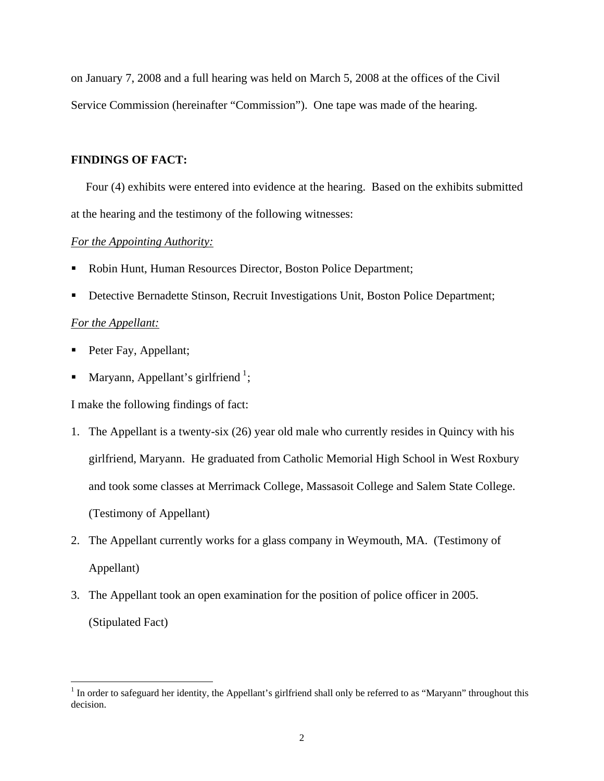on January 7, 2008 and a full hearing was held on March 5, 2008 at the offices of the Civil Service Commission (hereinafter "Commission"). One tape was made of the hearing.

### **FINDINGS OF FACT:**

Four (4) exhibits were entered into evidence at the hearing. Based on the exhibits submitted at the hearing and the testimony of the following witnesses:

### *For the Appointing Authority:*

- Robin Hunt, Human Resources Director, Boston Police Department;
- Detective Bernadette Stinson, Recruit Investigations Unit, Boston Police Department;

### *For the Appellant:*

- Peter Fay, Appellant;
- Maryann, Appellant's girlfriend<sup>[1](#page-1-0)</sup>;

I make the following findings of fact:

- 1. The Appellant is a twenty-six (26) year old male who currently resides in Quincy with his girlfriend, Maryann. He graduated from Catholic Memorial High School in West Roxbury and took some classes at Merrimack College, Massasoit College and Salem State College. (Testimony of Appellant)
- 2. The Appellant currently works for a glass company in Weymouth, MA. (Testimony of Appellant)
- 3. The Appellant took an open examination for the position of police officer in 2005. (Stipulated Fact)

<span id="page-1-0"></span><sup>&</sup>lt;sup>1</sup> In order to safeguard her identity, the Appellant's girlfriend shall only be referred to as "Maryann" throughout this decision.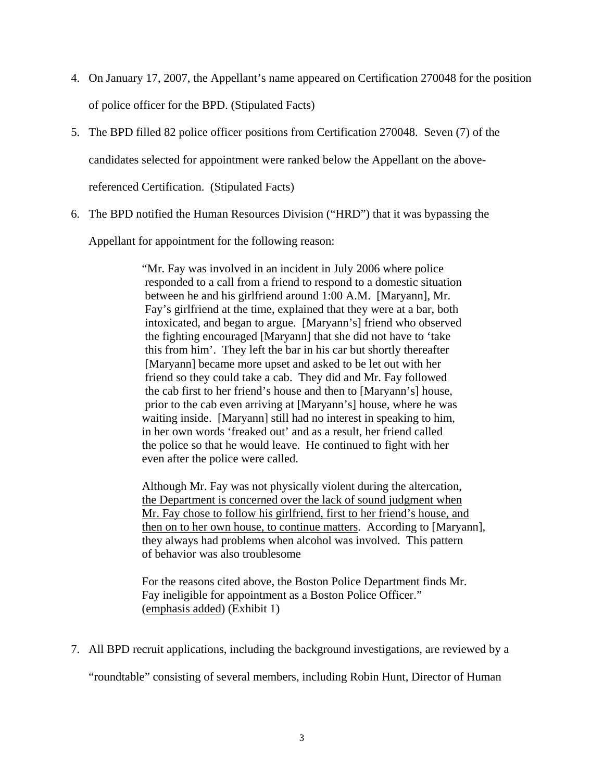- 4. On January 17, 2007, the Appellant's name appeared on Certification 270048 for the position of police officer for the BPD. (Stipulated Facts)
- 5. The BPD filled 82 police officer positions from Certification 270048. Seven (7) of the candidates selected for appointment were ranked below the Appellant on the above-

referenced Certification. (Stipulated Facts)

6. The BPD notified the Human Resources Division ("HRD") that it was bypassing the

Appellant for appointment for the following reason:

"Mr. Fay was involved in an incident in July 2006 where police responded to a call from a friend to respond to a domestic situation between he and his girlfriend around 1:00 A.M. [Maryann], Mr. Fay's girlfriend at the time, explained that they were at a bar, both intoxicated, and began to argue. [Maryann's] friend who observed the fighting encouraged [Maryann] that she did not have to 'take this from him'. They left the bar in his car but shortly thereafter [Maryann] became more upset and asked to be let out with her friend so they could take a cab. They did and Mr. Fay followed the cab first to her friend's house and then to [Maryann's] house, prior to the cab even arriving at [Maryann's] house, where he was waiting inside. [Maryann] still had no interest in speaking to him, in her own words 'freaked out' and as a result, her friend called the police so that he would leave. He continued to fight with her even after the police were called.

Although Mr. Fay was not physically violent during the altercation, the Department is concerned over the lack of sound judgment when Mr. Fay chose to follow his girlfriend, first to her friend's house, and then on to her own house, to continue matters. According to [Maryann], they always had problems when alcohol was involved. This pattern of behavior was also troublesome

For the reasons cited above, the Boston Police Department finds Mr. Fay ineligible for appointment as a Boston Police Officer." (emphasis added) (Exhibit 1)

7. All BPD recruit applications, including the background investigations, are reviewed by a

"roundtable" consisting of several members, including Robin Hunt, Director of Human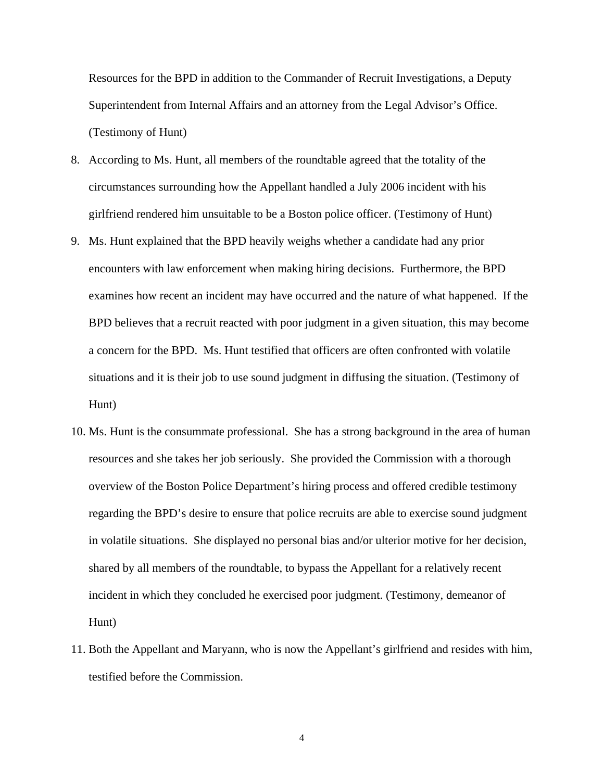Resources for the BPD in addition to the Commander of Recruit Investigations, a Deputy Superintendent from Internal Affairs and an attorney from the Legal Advisor's Office. (Testimony of Hunt)

- 8. According to Ms. Hunt, all members of the roundtable agreed that the totality of the circumstances surrounding how the Appellant handled a July 2006 incident with his girlfriend rendered him unsuitable to be a Boston police officer. (Testimony of Hunt)
- 9. Ms. Hunt explained that the BPD heavily weighs whether a candidate had any prior encounters with law enforcement when making hiring decisions. Furthermore, the BPD examines how recent an incident may have occurred and the nature of what happened. If the BPD believes that a recruit reacted with poor judgment in a given situation, this may become a concern for the BPD. Ms. Hunt testified that officers are often confronted with volatile situations and it is their job to use sound judgment in diffusing the situation. (Testimony of Hunt)
- 10. Ms. Hunt is the consummate professional. She has a strong background in the area of human resources and she takes her job seriously. She provided the Commission with a thorough overview of the Boston Police Department's hiring process and offered credible testimony regarding the BPD's desire to ensure that police recruits are able to exercise sound judgment in volatile situations. She displayed no personal bias and/or ulterior motive for her decision, shared by all members of the roundtable, to bypass the Appellant for a relatively recent incident in which they concluded he exercised poor judgment. (Testimony, demeanor of Hunt)
- 11. Both the Appellant and Maryann, who is now the Appellant's girlfriend and resides with him, testified before the Commission.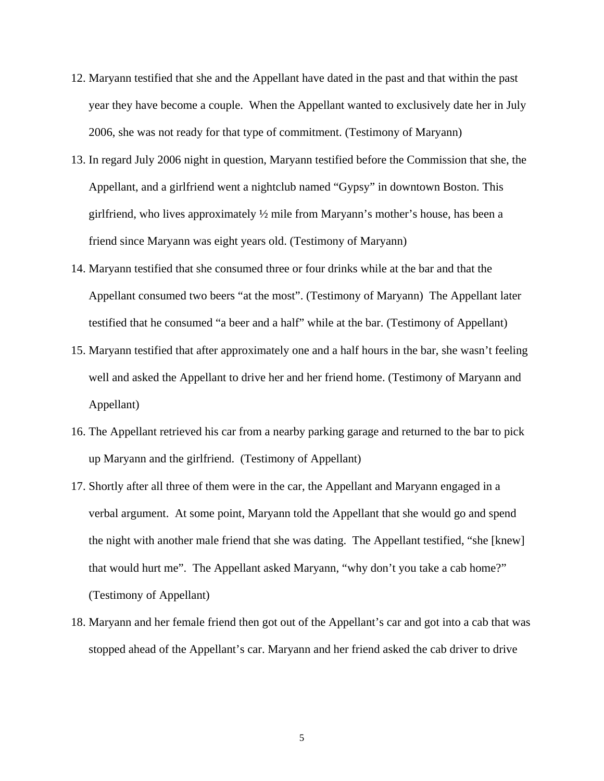- 12. Maryann testified that she and the Appellant have dated in the past and that within the past year they have become a couple. When the Appellant wanted to exclusively date her in July 2006, she was not ready for that type of commitment. (Testimony of Maryann)
- 13. In regard July 2006 night in question, Maryann testified before the Commission that she, the Appellant, and a girlfriend went a nightclub named "Gypsy" in downtown Boston. This girlfriend, who lives approximately ½ mile from Maryann's mother's house, has been a friend since Maryann was eight years old. (Testimony of Maryann)
- 14. Maryann testified that she consumed three or four drinks while at the bar and that the Appellant consumed two beers "at the most". (Testimony of Maryann) The Appellant later testified that he consumed "a beer and a half" while at the bar. (Testimony of Appellant)
- 15. Maryann testified that after approximately one and a half hours in the bar, she wasn't feeling well and asked the Appellant to drive her and her friend home. (Testimony of Maryann and Appellant)
- 16. The Appellant retrieved his car from a nearby parking garage and returned to the bar to pick up Maryann and the girlfriend. (Testimony of Appellant)
- 17. Shortly after all three of them were in the car, the Appellant and Maryann engaged in a verbal argument. At some point, Maryann told the Appellant that she would go and spend the night with another male friend that she was dating. The Appellant testified, "she [knew] that would hurt me". The Appellant asked Maryann, "why don't you take a cab home?" (Testimony of Appellant)
- 18. Maryann and her female friend then got out of the Appellant's car and got into a cab that was stopped ahead of the Appellant's car. Maryann and her friend asked the cab driver to drive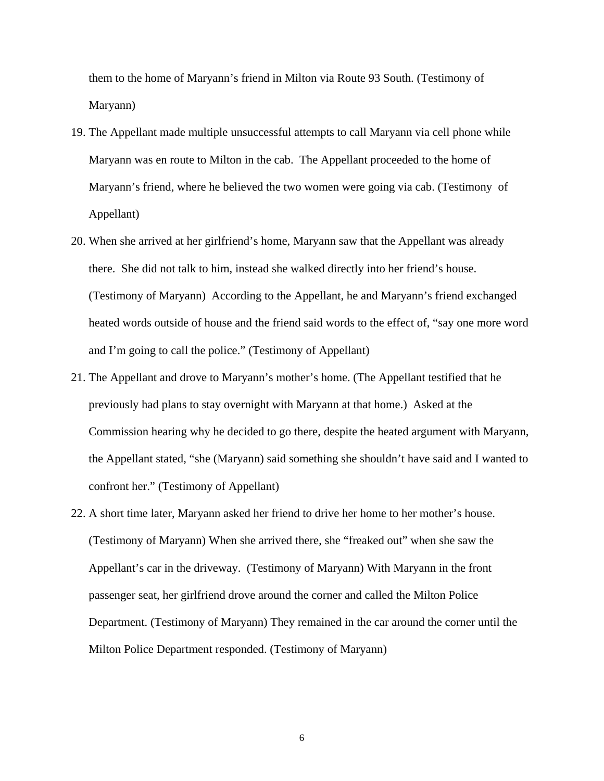them to the home of Maryann's friend in Milton via Route 93 South. (Testimony of Maryann)

- 19. The Appellant made multiple unsuccessful attempts to call Maryann via cell phone while Maryann was en route to Milton in the cab. The Appellant proceeded to the home of Maryann's friend, where he believed the two women were going via cab. (Testimony of Appellant)
- 20. When she arrived at her girlfriend's home, Maryann saw that the Appellant was already there. She did not talk to him, instead she walked directly into her friend's house. (Testimony of Maryann) According to the Appellant, he and Maryann's friend exchanged heated words outside of house and the friend said words to the effect of, "say one more word and I'm going to call the police." (Testimony of Appellant)
- 21. The Appellant and drove to Maryann's mother's home. (The Appellant testified that he previously had plans to stay overnight with Maryann at that home.) Asked at the Commission hearing why he decided to go there, despite the heated argument with Maryann, the Appellant stated, "she (Maryann) said something she shouldn't have said and I wanted to confront her." (Testimony of Appellant)
- 22. A short time later, Maryann asked her friend to drive her home to her mother's house. (Testimony of Maryann) When she arrived there, she "freaked out" when she saw the Appellant's car in the driveway. (Testimony of Maryann) With Maryann in the front passenger seat, her girlfriend drove around the corner and called the Milton Police Department. (Testimony of Maryann) They remained in the car around the corner until the Milton Police Department responded. (Testimony of Maryann)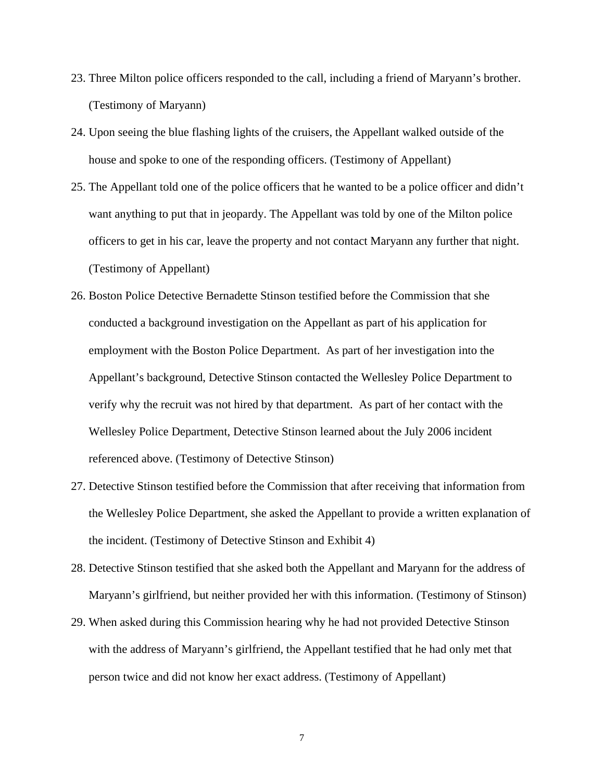- 23. Three Milton police officers responded to the call, including a friend of Maryann's brother. (Testimony of Maryann)
- 24. Upon seeing the blue flashing lights of the cruisers, the Appellant walked outside of the house and spoke to one of the responding officers. (Testimony of Appellant)
- 25. The Appellant told one of the police officers that he wanted to be a police officer and didn't want anything to put that in jeopardy. The Appellant was told by one of the Milton police officers to get in his car, leave the property and not contact Maryann any further that night. (Testimony of Appellant)
- 26. Boston Police Detective Bernadette Stinson testified before the Commission that she conducted a background investigation on the Appellant as part of his application for employment with the Boston Police Department. As part of her investigation into the Appellant's background, Detective Stinson contacted the Wellesley Police Department to verify why the recruit was not hired by that department. As part of her contact with the Wellesley Police Department, Detective Stinson learned about the July 2006 incident referenced above. (Testimony of Detective Stinson)
- 27. Detective Stinson testified before the Commission that after receiving that information from the Wellesley Police Department, she asked the Appellant to provide a written explanation of the incident. (Testimony of Detective Stinson and Exhibit 4)
- 28. Detective Stinson testified that she asked both the Appellant and Maryann for the address of Maryann's girlfriend, but neither provided her with this information. (Testimony of Stinson)
- 29. When asked during this Commission hearing why he had not provided Detective Stinson with the address of Maryann's girlfriend, the Appellant testified that he had only met that person twice and did not know her exact address. (Testimony of Appellant)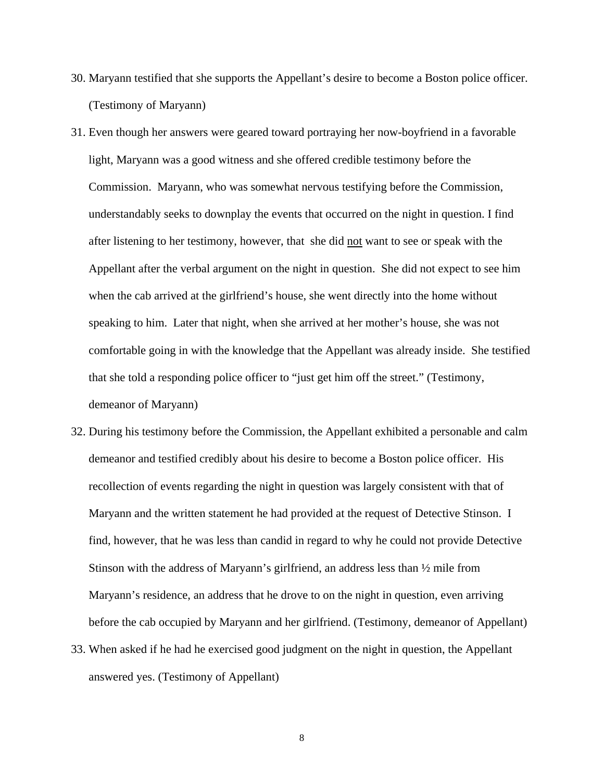- 30. Maryann testified that she supports the Appellant's desire to become a Boston police officer. (Testimony of Maryann)
- 31. Even though her answers were geared toward portraying her now-boyfriend in a favorable light, Maryann was a good witness and she offered credible testimony before the Commission. Maryann, who was somewhat nervous testifying before the Commission, understandably seeks to downplay the events that occurred on the night in question. I find after listening to her testimony, however, that she did not want to see or speak with the Appellant after the verbal argument on the night in question. She did not expect to see him when the cab arrived at the girlfriend's house, she went directly into the home without speaking to him. Later that night, when she arrived at her mother's house, she was not comfortable going in with the knowledge that the Appellant was already inside. She testified that she told a responding police officer to "just get him off the street." (Testimony, demeanor of Maryann)
- 32. During his testimony before the Commission, the Appellant exhibited a personable and calm demeanor and testified credibly about his desire to become a Boston police officer. His recollection of events regarding the night in question was largely consistent with that of Maryann and the written statement he had provided at the request of Detective Stinson. I find, however, that he was less than candid in regard to why he could not provide Detective Stinson with the address of Maryann's girlfriend, an address less than ½ mile from Maryann's residence, an address that he drove to on the night in question, even arriving before the cab occupied by Maryann and her girlfriend. (Testimony, demeanor of Appellant)
- 33. When asked if he had he exercised good judgment on the night in question, the Appellant answered yes. (Testimony of Appellant)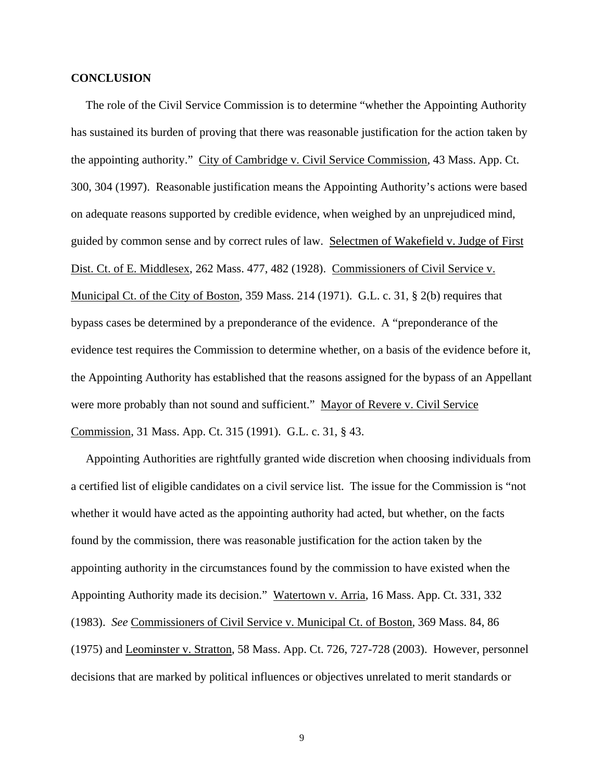### **CONCLUSION**

 The role of the Civil Service Commission is to determine "whether the Appointing Authority has sustained its burden of proving that there was reasonable justification for the action taken by the appointing authority." City of Cambridge v. Civil Service Commission, 43 Mass. App. Ct. 300, 304 (1997). Reasonable justification means the Appointing Authority's actions were based on adequate reasons supported by credible evidence, when weighed by an unprejudiced mind, guided by common sense and by correct rules of law. Selectmen of Wakefield v. Judge of First Dist. Ct. of E. Middlesex, 262 Mass. 477, 482 (1928). Commissioners of Civil Service v. Municipal Ct. of the City of Boston, 359 Mass. 214 (1971). G.L. c. 31, § 2(b) requires that bypass cases be determined by a preponderance of the evidence. A "preponderance of the evidence test requires the Commission to determine whether, on a basis of the evidence before it, the Appointing Authority has established that the reasons assigned for the bypass of an Appellant were more probably than not sound and sufficient." Mayor of Revere v. Civil Service Commission, 31 Mass. App. Ct. 315 (1991). G.L. c. 31, § 43.

 Appointing Authorities are rightfully granted wide discretion when choosing individuals from a certified list of eligible candidates on a civil service list. The issue for the Commission is "not whether it would have acted as the appointing authority had acted, but whether, on the facts found by the commission, there was reasonable justification for the action taken by the appointing authority in the circumstances found by the commission to have existed when the Appointing Authority made its decision." Watertown v. Arria, 16 Mass. App. Ct. 331, 332 (1983). *See* Commissioners of Civil Service v. Municipal Ct. of Boston, 369 Mass. 84, 86 (1975) and Leominster v. Stratton, 58 Mass. App. Ct. 726, 727-728 (2003). However, personnel decisions that are marked by political influences or objectives unrelated to merit standards or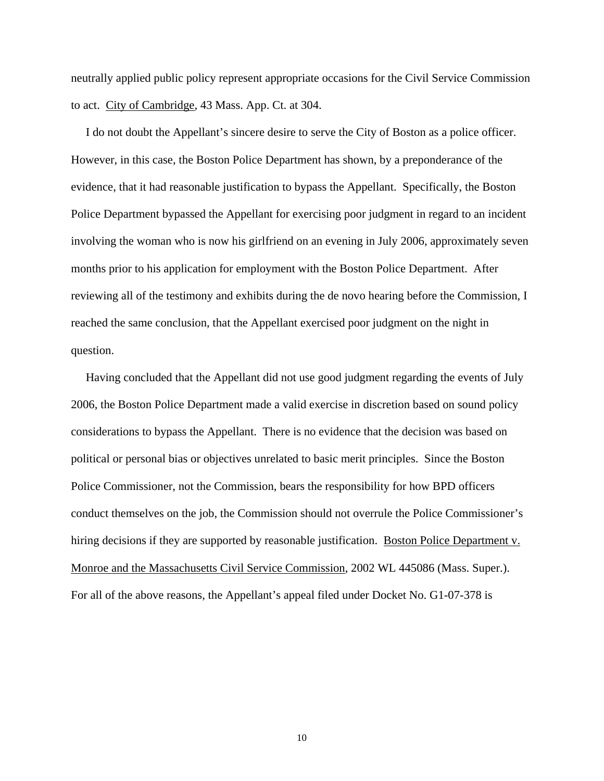neutrally applied public policy represent appropriate occasions for the Civil Service Commission to act. City of Cambridge, 43 Mass. App. Ct. at 304.

 I do not doubt the Appellant's sincere desire to serve the City of Boston as a police officer. However, in this case, the Boston Police Department has shown, by a preponderance of the evidence, that it had reasonable justification to bypass the Appellant. Specifically, the Boston Police Department bypassed the Appellant for exercising poor judgment in regard to an incident involving the woman who is now his girlfriend on an evening in July 2006, approximately seven months prior to his application for employment with the Boston Police Department. After reviewing all of the testimony and exhibits during the de novo hearing before the Commission, I reached the same conclusion, that the Appellant exercised poor judgment on the night in question.

 Having concluded that the Appellant did not use good judgment regarding the events of July 2006, the Boston Police Department made a valid exercise in discretion based on sound policy considerations to bypass the Appellant. There is no evidence that the decision was based on political or personal bias or objectives unrelated to basic merit principles. Since the Boston Police Commissioner, not the Commission, bears the responsibility for how BPD officers conduct themselves on the job, the Commission should not overrule the Police Commissioner's hiring decisions if they are supported by reasonable justification. Boston Police Department v. Monroe and the Massachusetts Civil Service Commission, 2002 WL 445086 (Mass. Super.). For all of the above reasons, the Appellant's appeal filed under Docket No. G1-07-378 is